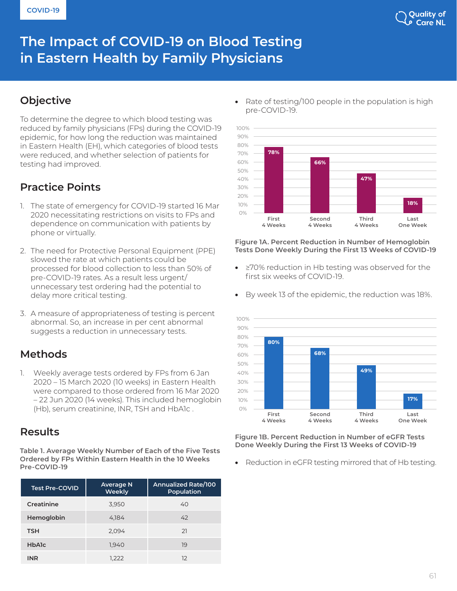

# **The Impact of COVID-19 on Blood Testing in Eastern Health by Family Physicians**

# **Objective**

To determine the degree to which blood testing was reduced by family physicians (FPs) during the COVID-19 epidemic, for how long the reduction was maintained in Eastern Health (EH), which categories of blood tests were reduced, and whether selection of patients for testing had improved.

# **Practice Points**

- 1. The state of emergency for COVID-19 started 16 Mar 2020 necessitating restrictions on visits to FPs and dependence on communication with patients by phone or virtually.
- 2. The need for Protective Personal Equipment (PPE) slowed the rate at which patients could be processed for blood collection to less than 50% of pre-COVID-19 rates. As a result less urgent/ unnecessary test ordering had the potential to delay more critical testing.
- 3. A measure of appropriateness of testing is percent abnormal. So, an increase in per cent abnormal suggests a reduction in unnecessary tests.

# **Methods**

1. Weekly average tests ordered by FPs from 6 Jan 2020 – 15 March 2020 (10 weeks) in Eastern Health were compared to those ordered from 16 Mar 2020 – 22 Jun 2020 (14 weeks). This included hemoglobin (Hb), serum creatinine, INR, TSH and HbA1c .

## **Results**

**Table 1. Average Weekly Number of Each of the Five Tests Ordered by FPs Within Eastern Health in the 10 Weeks Pre-COVID-19** 

| <b>Test Pre-COVID</b> | <b>Average N</b><br>Weekly | <b>Annualized Rate/100</b><br><b>Population</b> |
|-----------------------|----------------------------|-------------------------------------------------|
| Creatinine            | 3,950                      | 40                                              |
| Hemoglobin            | 4,184                      | 42                                              |
| <b>TSH</b>            | 2,094                      | 21                                              |
| <b>HbAlc</b>          | 1,940                      | 19                                              |
| <b>INR</b>            | 1,222                      | 12                                              |

Rate of testing/100 people in the population is high pre-COVID-19.



### **Figure 1A. Percent Reduction in Number of Hemoglobin Tests Done Weekly During the First 13 Weeks of COVID-19**

- ≥70% reduction in Hb testing was observed for the first six weeks of COVID-19.
- By week 13 of the epidemic, the reduction was 18%.



**Figure 1B. Percent Reduction in Number of eGFR Tests Done Weekly During the First 13 Weeks of COVID-19** 

Reduction in eGFR testing mirrored that of Hb testing.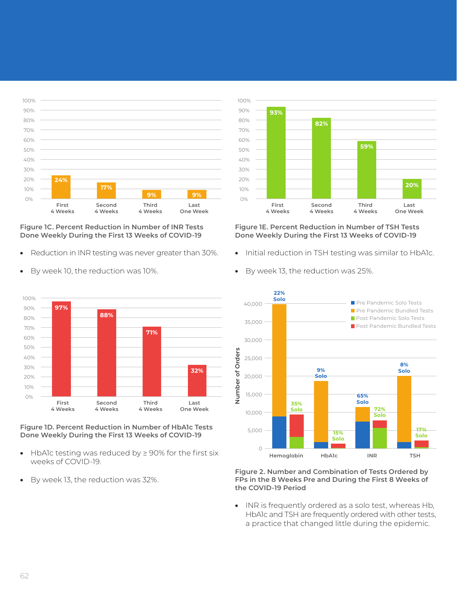



• Reduction in INR testing was never greater than 30%.



By week 10, the reduction was 10%.



- HbA1c testing was reduced by ≥ 90% for the first six weeks of COVID-19.
- By week 13, the reduction was 32%.



### **Figure 1E. Percent Reduction in Number of TSH Tests Done Weekly During the First 13 Weeks of COVID-19**

- Initial reduction in TSH testing was similar to HbA1c.
- By week 13, the reduction was 25%.



**Figure 2. Number and Combination of Tests Ordered by FPs in the 8 Weeks Pre and During the First 8 Weeks of the COVID-19 Period**

• INR is frequently ordered as a solo test, whereas Hb, HbA1c and TSH are frequently ordered with other tests, a practice that changed little during the epidemic.